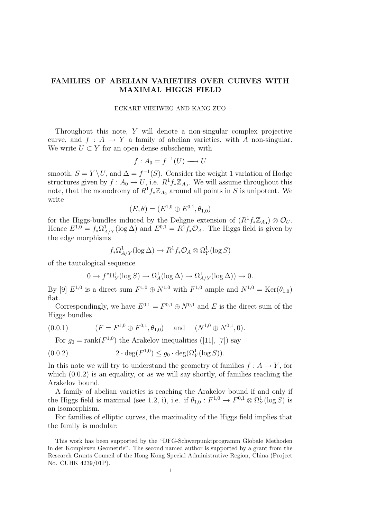# FAMILIES OF ABELIAN VARIETIES OVER CURVES WITH MAXIMAL HIGGS FIELD

#### ECKART VIEHWEG AND KANG ZUO

Throughout this note, Y will denote a non-singular complex projective curve, and  $f : A \to Y$  a family of abelian varieties, with A non-singular. We write  $U \subset Y$  for an open dense subscheme, with

$$
f: A_0 = f^{-1}(U) \longrightarrow U
$$

smooth,  $S = Y \setminus U$ , and  $\Delta = f^{-1}(S)$ . Consider the weight 1 variation of Hodge structures given by  $f: A_0 \to U$ , i.e.  $R^1 f_* \mathbb{Z}_{A_0}$ . We will assume throughout this note, that the monodromy of  $R^1 f_* \mathbb{Z}_{A_0}$  around all points in S is unipotent. We write

$$
(E, \theta) = (E^{1,0} \oplus E^{0,1}, \theta_{1,0})
$$

for the Higgs-bundles induced by the Deligne extension of  $(R^1f_*\mathbb{Z}_{A_0})\otimes\mathcal{O}_U$ . Hence  $E^{1,0} = f_* \Omega^1_{A/Y} (\log \Delta)$  and  $E^{0,1} = R^1 f_* \mathcal{O}_A$ . The Higgs field is given by the edge morphisms

$$
f_*\Omega^1_{A/Y}(\log \Delta) \to R^1 f_* \mathcal{O}_A \otimes \Omega^1_Y(\log S)
$$

of the tautological sequence

$$
0 \to f^*\Omega^1_Y(\log S) \to \Omega^1_A(\log \Delta) \to \Omega^1_{A/Y}(\log \Delta)) \to 0.
$$

By [9]  $E^{1,0}$  is a direct sum  $F^{1,0} \oplus N^{1,0}$  with  $F^{1,0}$  ample and  $N^{1,0} = \text{Ker}(\theta_{1,0})$ flat.

Correspondingly, we have  $E^{0,1} = F^{0,1} \oplus N^{0,1}$  and E is the direct sum of the Higgs bundles

(0.0.1) (F = F <sup>1</sup>,<sup>0</sup> ⊕ F 0,1 , θ1,0) and (N <sup>1</sup>,<sup>0</sup> ⊕ N 0,1 , 0).

For  $g_0 = \text{rank}(F^{1,0})$  the Arakelov inequalities ([11], [7]) say

$$
(0.0.2) \t2 \cdot \deg(F^{1,0}) \le g_0 \cdot \deg(\Omega^1_Y(\log S)).
$$

In this note we will try to understand the geometry of families  $f : A \to Y$ , for which  $(0.0.2)$  is an equality, or as we will say shortly, of families reaching the Arakelov bound.

A family of abelian varieties is reaching the Arakelov bound if and only if the Higgs field is maximal (see 1.2, i), i.e. if  $\theta_{1,0}: F^{1,0} \to F^{0,1} \otimes \Omega_Y^1(\log S)$  is an isomorphism.

For families of elliptic curves, the maximality of the Higgs field implies that the family is modular:

This work has been supported by the "DFG-Schwerpunktprogramm Globale Methoden in der Komplexen Geometrie". The second named author is supported by a grant from the Research Grants Council of the Hong Kong Special Administrative Region, China (Project No. CUHK 4239/01P).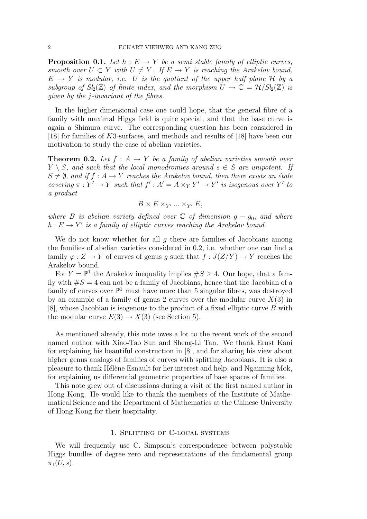**Proposition 0.1.** Let  $h : E \to Y$  be a semi stable family of elliptic curves, smooth over  $U \subset Y$  with  $U \neq Y$ . If  $E \to Y$  is reaching the Arakelov bound,  $E \rightarrow Y$  is modular, i.e. U is the quotient of the upper half plane H by a subgroup of  $Sl_2(\mathbb{Z})$  of finite index, and the morphism  $U \to \mathbb{C} = \mathcal{H}/Sl_2(\mathbb{Z})$  is given by the j-invariant of the fibres.

In the higher dimensional case one could hope, that the general fibre of a family with maximal Higgs field is quite special, and that the base curve is again a Shimura curve. The corresponding question has been considered in [18] for families of K3-surfaces, and methods and results of [18] have been our motivation to study the case of abelian varieties.

**Theorem 0.2.** Let  $f : A \rightarrow Y$  be a family of abelian varieties smooth over  $Y \setminus S$ , and such that the local monodromies around  $s \in S$  are unipotent. If  $S \neq \emptyset$ , and if  $f : A \rightarrow Y$  reaches the Arakelov bound, then there exists an étale covering  $\pi : Y' \to Y$  such that  $f' : A' = A \times_Y Y' \to Y'$  is isogenous over Y' to a product

$$
B \times E \times_{Y'} \dots \times_{Y'} E,
$$

where B is abelian variety defined over  $\mathbb C$  of dimension  $g - g_0$ , and where  $h: E \to Y'$  is a family of elliptic curves reaching the Arakelov bound.

We do not know whether for all  $q$  there are families of Jacobians among the families of abelian varieties considered in 0.2, i.e. whether one can find a family  $\varphi: Z \to Y$  of curves of genus g such that  $f: J(Z/Y) \to Y$  reaches the Arakelov bound.

For  $Y = \mathbb{P}^1$  the Arakelov inequality implies  $\#S \geq 4$ . Our hope, that a family with  $#S = 4$  can not be a family of Jacobians, hence that the Jacobian of a family of curves over  $\mathbb{P}^1$  must have more than 5 singular fibres, was destroyed by an example of a family of genus 2 curves over the modular curve  $X(3)$  in [8], whose Jacobian is isogenous to the product of a fixed elliptic curve B with the modular curve  $E(3) \rightarrow X(3)$  (see Section 5).

As mentioned already, this note owes a lot to the recent work of the second named author with Xiao-Tao Sun and Sheng-Li Tan. We thank Ernst Kani for explaining his beautiful construction in [8], and for sharing his view about higher genus analogs of families of curves with splitting Jacobians. It is also a pleasure to thank Hélène Esnault for her interest and help, and Ngaiming Mok, for explaining us differential geometric properties of base spaces of families.

This note grew out of discussions during a visit of the first named author in Hong Kong. He would like to thank the members of the Institute of Mathematical Science and the Department of Mathematics at the Chinese University of Hong Kong for their hospitality.

### 1. Splitting of C-local systems

We will frequently use C. Simpson's correspondence between polystable Higgs bundles of degree zero and representations of the fundamental group  $\pi_1(U, s)$ .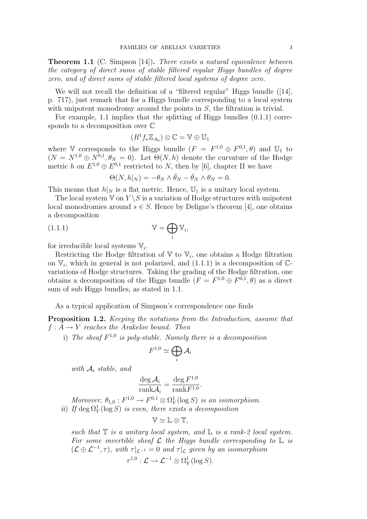**Theorem 1.1** (C. Simpson [14]). There exists a natural equivalence between the category of direct sums of stable filtered regular Higgs bundles of degree zero, and of direct sums of stable filtered local systems of degree zero.

We will not recall the definition of a "filtered regular" Higgs bundle  $(14)$ , p. 717), just remark that for a Higgs bundle corresponding to a local system with unipotent monodromy around the points in  $S$ , the filtration is trivial.

For example, 1.1 implies that the splitting of Higgs bundles (0.1.1) corresponds to a decomposition over C

$$
(R^1f_*\mathbb{Z}_{A_0})\otimes \mathbb{C}=\mathbb{V}\oplus \mathbb{U}_1
$$

where V corresponds to the Higgs bundle  $(F = F^{1,0} \oplus F^{0,1}, \theta)$  and  $\mathbb{U}_1$  to  $(N = N^{1,0} \oplus N^{0,1}, \theta_N = 0)$ . Let  $\Theta(N, h)$  denote the curvature of the Hodge metric h on  $E^{1,0} \oplus E^{0,1}$  restricted to N, then by [6], chapter II we have

$$
\Theta(N, h|_N) = -\theta_N \wedge \bar{\theta}_N - \bar{\theta}_N \wedge \theta_N = 0.
$$

This means that  $h|_N$  is a flat metric. Hence,  $\mathbb{U}_1$  is a unitary local system.

The local system  $V$  on  $Y \setminus S$  is a variation of Hodge structures with unipotent local monodromies around  $s \in S$ . Hence by Deligne's theorem [4], one obtains a decomposition

(1.1.1) 
$$
\mathbb{V} = \bigoplus_{i} \mathbb{V}_{i},
$$

for irreducible local systems  $\mathbb{V}_i$ .

Restricting the Hodge filtration of  $V$  to  $V_i$ , one obtains a Hodge filtration on  $V_i$ , which in general is not polarized, and  $(1.1.1)$  is a decomposition of  $\mathbb{C}$ variations of Hodge structures. Taking the grading of the Hodge filtration, one obtains a decomposition of the Higgs bundle  $(F = F^{1,0} \oplus F^{0,1}, \theta)$  as a direct sum of sub Higgs bundles, as stated in 1.1.

As a typical application of Simpson's correspondence one finds

Proposition 1.2. Keeping the notations from the Introduction, assume that  $f: A \rightarrow Y$  reaches the Arakelov bound. Then

i) The sheaf  $F^{1,0}$  is poly-stable. Namely there is a decomposition

$$
F^{1,0}\simeq\bigoplus_i\mathcal{A}_i
$$

with  $A_i$  stable, and

$$
\frac{\deg A_i}{\text{rank} \mathcal{A}_i} = \frac{\deg F^{1,0}}{\text{rank} F^{1,0}}.
$$

Moreover,  $\theta_{1,0}: F^{1,0} \to F^{0,1} \otimes \Omega_Y^1(\log S)$  is an isomorphism.

ii) If  $\deg \Omega_Y^1(\log S)$  is even, there exists a decomposition

$$
\mathbb{V}\simeq \mathbb{L}\otimes \mathbb{T},
$$

such that  $\mathbb T$  is a unitary local system, and  $\mathbb L$  is a rank-2 local system. For some invertible sheaf  $\mathcal L$  the Higgs bundle corresponding to  $\mathbb L$  is  $(\mathcal{L} \oplus \mathcal{L}^{-1}, \tau)$ , with  $\tau|_{\mathcal{L}^{-1}} = 0$  and  $\tau|_{\mathcal{L}}$  given by an isomorphism

$$
\tau^{1,0}: \mathcal{L} \to \mathcal{L}^{-1} \otimes \Omega^1_Y(\log S).
$$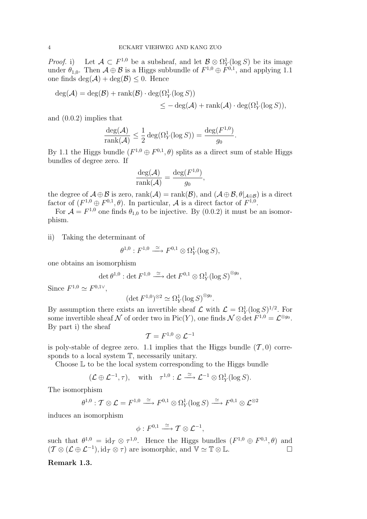*Proof.* i) Let  $\mathcal{A} \subset F^{1,0}$  be a subsheaf, and let  $\mathcal{B} \otimes \Omega_Y^1(\log S)$  be its image under  $\theta_{1,0}$ . Then  $\mathcal{A} \oplus \mathcal{B}$  is a Higgs subbundle of  $F^{1,0} \oplus F^{0,1}$ , and applying 1.1 one finds  $\deg(\mathcal{A}) + \deg(\mathcal{B}) \leq 0$ . Hence

$$
deg(\mathcal{A}) = deg(\mathcal{B}) + rank(\mathcal{B}) \cdot deg(\Omega_Y^1(\log S))
$$
  

$$
\leq - deg(\mathcal{A}) + rank(\mathcal{A}) \cdot deg(\Omega_Y^1(\log S)),
$$

and (0.0.2) implies that

$$
\frac{\deg(\mathcal{A})}{\text{rank}(\mathcal{A})} \le \frac{1}{2} \deg(\Omega_Y^1(\log S)) = \frac{\deg(F^{1,0})}{g_0}.
$$

By 1.1 the Higgs bundle  $(F^{1,0} \oplus F^{0,1}, \theta)$  splits as a direct sum of stable Higgs bundles of degree zero. If

$$
\frac{\deg(\mathcal{A})}{\text{rank}(\mathcal{A})} = \frac{\deg(F^{1,0})}{g_0},
$$

the degree of  $\mathcal{A} \oplus \mathcal{B}$  is zero,  $\text{rank}(\mathcal{A}) = \text{rank}(\mathcal{B})$ , and  $(\mathcal{A} \oplus \mathcal{B}, \theta |_{\mathcal{A} \oplus \mathcal{B}})$  is a direct factor of  $(F^{1,0} \oplus F^{0,1}, \theta)$ . In particular, A is a direct factor of  $F^{1,0}$ .

For  $\mathcal{A} = F^{1,0}$  one finds  $\theta_{1,0}$  to be injective. By (0.0.2) it must be an isomorphism.

ii) Taking the determinant of

$$
\theta^{1,0}: F^{1,0} \xrightarrow{\simeq} F^{0,1} \otimes \Omega^1_Y(\log S),
$$

one obtains an isomorphism

$$
\det \theta^{1,0} : \det F^{1,0} \xrightarrow{\simeq} \det F^{0,1} \otimes \Omega_Y^1(\log S)^{\otimes g_0},
$$

Since  $F^{1,0} \simeq F^{0,1\vee}$ ,

$$
(\det F^{1,0})^{\otimes 2} \simeq \Omega^1_Y(\log S)^{\otimes g_0}.
$$

By assumption there exists an invertible sheaf  $\mathcal{L}$  with  $\mathcal{L} = \Omega_Y^1(\log S)^{1/2}$ . For some invertible sheaf N of order two in  $Pic(Y)$ , one finds  $\mathcal{N} \otimes \det F^{1,0} = \mathcal{L}^{\otimes g_0}$ . By part i) the sheaf

$$
\mathcal{T}=F^{1,0}\otimes \mathcal{L}^{-1}
$$

is poly-stable of degree zero. 1.1 implies that the Higgs bundle  $(\mathcal{T}, 0)$  corresponds to a local system  $T$ , necessarily unitary.

Choose L to be the local system corresponding to the Higgs bundle

$$
(\mathcal{L} \oplus \mathcal{L}^{-1}, \tau), \quad \text{with} \quad \tau^{1,0} : \mathcal{L} \xrightarrow{\simeq} \mathcal{L}^{-1} \otimes \Omega_Y^1(\log S).
$$

The isomorphism

$$
\theta^{1,0} : \mathcal{T} \otimes \mathcal{L} = F^{1,0} \xrightarrow{\simeq} F^{0,1} \otimes \Omega^1_Y(\log S) \xrightarrow{\simeq} F^{0,1} \otimes \mathcal{L}^{\otimes 2}
$$

induces an isomorphism

$$
\phi:F^{0,1}\stackrel{\simeq}{\longrightarrow} \mathcal{T}\otimes \mathcal{L}^{-1},
$$

such that  $\theta^{1,0} = \text{id}_{\mathcal{I}} \otimes \tau^{1,0}$ . Hence the Higgs bundles  $(F^{1,0} \oplus F^{0,1}, \theta)$  and  $(\mathcal{T} \otimes (\mathcal{L} \oplus \mathcal{L}^{-1}), id_{\mathcal{T}} \otimes \tau)$  are isomorphic, and  $\mathbb{V} \simeq \mathbb{T} \otimes \mathbb{L}$ .

## Remark 1.3.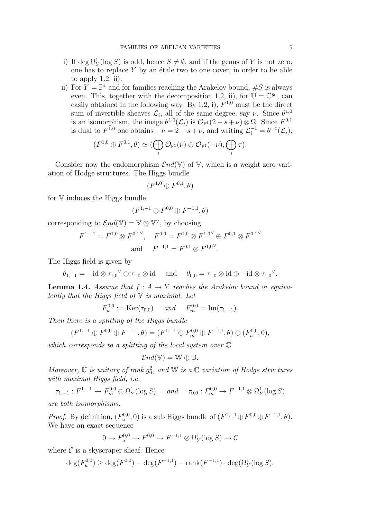- i) If  $\deg \Omega_Y^1(\log S)$  is odd, hence  $S \neq \emptyset$ , and if the genus of Y is not zero, one has to replace  $Y$  by an étale two to one cover, in order to be able to apply  $1.2$ , ii).
- ii) For  $\hat{Y} = \mathbb{P}^1$  and for families reaching the Arakelov bound,  $\#S$  is always even. This, together with the decomposition 1.2, ii), for  $\mathbb{U} = \mathbb{C}^{g_0}$ , can easily obtained in the following way. By 1.2, i),  $F^{1,0}$  must be the direct sum of invertible sheaves  $\mathcal{L}_i$ , all of the same degree, say  $\nu$ . Since  $\theta^{1,0}$ is an isomorphism, the image  $\theta^{1,0}(\mathcal{L}_i)$  is  $\mathcal{O}_{\mathbb{P}^1}(2-s+\nu) \otimes \Omega$ . Since  $F^{0,1}$ is dual to  $F^{1,0}$  one obtains  $-\nu = 2 - s + \nu$ , and writing  $\mathcal{L}_i^{-1} = \theta^{1,0}(\mathcal{L}_i)$ ,

$$
(F^{1,0}\oplus F^{0,1},\theta)\simeq (\bigoplus_i {\mathcal O}_{\mathbb P^1}(\nu)\oplus {\mathcal O}_{\mathbb P^1}(-\nu),\bigoplus_i \tau).
$$

Consider now the endomorphism  $\mathcal{E}nd(\mathbb{V})$  of V, which is a weight zero variation of Hodge structures. The Higgs bundle

$$
(F^{1,0}\oplus F^{0,1},\theta)
$$

for V induces the Higgs bundle

$$
(F^{1,-1}\oplus F^{0,0}\oplus F^{-1,1},\theta)
$$

corresponding to  $\mathcal{E}nd(\mathbb{V}) = \mathbb{V} \otimes \mathbb{V}^{\vee}$ , by choosing

$$
F^{1,-1} = F^{1,0} \otimes F^{0,1} \vee, \quad F^{0,0} = F^{1,0} \otimes F^{1,0} \oplus F^{0,1} \otimes F^{0,1} \vee
$$
  
and 
$$
F^{-1,1} = F^{0,1} \otimes F^{1,0} \vee.
$$

The Higgs field is given by

 $\theta_{1,-1} = -id \otimes \tau_{1,0}^\vee \oplus \tau_{1,0} \otimes id$  and  $\theta_{0,0} = \tau_{1,0} \otimes id \oplus -id \otimes \tau_{1,0}^\vee$ .

**Lemma 1.4.** Assume that  $f : A \rightarrow Y$  reaches the Arakelov bound or equivalently that the Higgs field of  $V$  is maximal. Let

 $F_u^{0,0} := \text{Ker}(\tau_{0,0})$  and  $F_m^{0,0} = \text{Im}(\tau_{1,-1}).$ 

Then there is a splitting of the Higgs bundle

$$
(F^{1,-1}\oplus F^{0,0}\oplus F^{-1,1},\theta)=(F^{1,-1}\oplus F^{0,0}_m\oplus F^{-1,1},\theta)\oplus (F^{0,0}_u,0),
$$

which corresponds to a splitting of the local system over C

$$
\mathcal{E}nd(\mathbb{V})=\mathbb{W}\oplus\mathbb{U}.
$$

Moreover, U is unitary of rank  $g_0^2$ , and W is a C variation of Hodge structures with maximal Higgs field, i.e.

$$
\tau_{1,-1}: F^{1,-1} \to F^{0,0}_m \otimes \Omega^1_Y(\log S) \quad \text{and} \quad \tau_{0,0}: F^{0,0}_m \to F^{-1,1} \otimes \Omega^1_Y(\log S)
$$

are both isomorphisms.

*Proof.* By definition,  $(F_u^{0,0}, 0)$  is a sub Higgs bundle of  $(F^{1,-1}\oplus F^{0,0}\oplus F^{-1,1}, \theta)$ . We have an exact sequence

$$
0 \to F_u^{0,0} \to F^{0,0} \to F^{-1,1} \otimes \Omega^1_Y(\log S) \to \mathcal{C}
$$

where  $C$  is a skyscraper sheaf. Hence

$$
\deg(F_u^{0,0}) \ge \deg(F^{0,0}) - \deg(F^{-1,1}) - \operatorname{rank}(F^{-1,1}) \cdot \deg(\Omega_Y^1(\log S)).
$$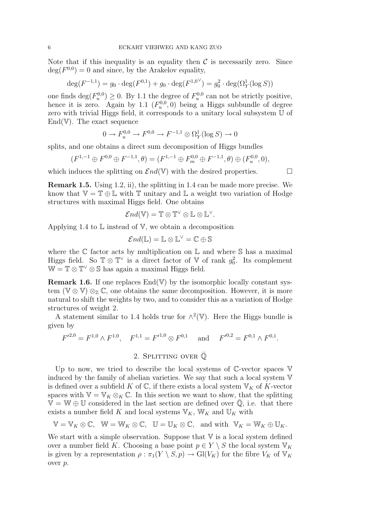Note that if this inequality is an equality then  $\mathcal C$  is necessarily zero. Since  $deg(F^{0,0}) = 0$  and since, by the Arakelov equality,

$$
\deg(F^{-1,1}) = g_0 \cdot \deg(F^{0,1}) + g_0 \cdot \deg(F^{1,0}) = g_0^2 \cdot \deg(\Omega_Y^1(\log S))
$$

one finds  $\deg(F_u^{0,0}) \geq 0$ . By 1.1 the degree of  $F_u^{0,0}$  can not be strictly positive, hence it is zero. Again by 1.1  $(F_u^{0,0}, 0)$  being a Higgs subbundle of degree zero with trivial Higgs field, it corresponds to a unitary local subsystem U of  $End(V)$ . The exact sequence

$$
0 \to F_u^{0,0} \to F^{0,0} \to F^{-1,1} \otimes \Omega_Y^1(\log S) \to 0
$$

splits, and one obtains a direct sum decomposition of Higgs bundles

$$
(F^{1,-1}\oplus F^{0,0}\oplus F^{-1,1},\theta)=(F^{1,-1}\oplus F^{0,0}_m\oplus F^{-1,1},\theta)\oplus (F^{0,0}_u,0),
$$

which induces the splitting on  $\mathcal{E}nd(\mathbb{V})$  with the desired properties.

Remark 1.5. Using 1.2, ii), the splitting in 1.4 can be made more precise. We know that  $\mathbb{V} = \mathbb{T} \oplus \mathbb{L}$  with  $\mathbb{T}$  unitary and  $\mathbb{L}$  a weight two variation of Hodge structures with maximal Higgs field. One obtains

$$
\mathcal{E}nd(\mathbb{V})=\mathbb{T}\otimes\mathbb{T}^\vee\otimes\mathbb{L}\otimes\mathbb{L}^\vee.
$$

Applying 1.4 to  $\mathbb L$  instead of  $\mathbb V$ , we obtain a decomposition

$$
\mathcal{E}nd(\mathbb{L})=\mathbb{L}\otimes\mathbb{L}^\vee=\mathbb{C}\oplus\mathbb{S}
$$

where the  $\mathbb C$  factor acts by multiplication on  $\mathbb L$  and where  $\mathbb S$  has a maximal Higgs field. So  $\mathbb{T} \otimes \mathbb{T}^{\vee}$  is a direct factor of  $\mathbb{V}$  of rank  $g_0^2$ . Its complement  $\mathbb{W} = \mathbb{T} \otimes \mathbb{T}^{\vee} \otimes \mathbb{S}$  has again a maximal Higgs field.

**Remark 1.6.** If one replaces  $\text{End}(\mathbb{V})$  by the isomorphic locally constant system  $(\mathbb{V} \otimes \mathbb{V}) \otimes_{\mathbb{Z}} \mathbb{C}$ , one obtains the same decomposition. However, it is more natural to shift the weights by two, and to consider this as a variation of Hodge structures of weight 2.

A statement similar to 1.4 holds true for  $\wedge^2(\mathbb{V})$ . Here the Higgs bundle is given by

$$
F'^{2,0} = F^{1,0} \wedge F^{1,0}, \quad F^{1,1} = F'^{1,0} \otimes F^{0,1} \quad \text{and} \quad F'^{0,2} = F^{0,1} \wedge F^{0,1}.
$$

# 2. SPLITTING OVER  $\bar{Q}$

Up to now, we tried to describe the local systems of  $\mathbb{C}\text{-vector spaces }\mathbb{V}$ induced by the family of abelian varieties. We say that such a local system V is defined over a subfield K of  $\mathbb{C}$ , if there exists a local system  $\mathbb{V}_K$  of K-vector spaces with  $\mathbb{V} = \mathbb{V}_K \otimes_K \mathbb{C}$ . In this section we want to show, that the splitting  $\mathbb{V} = \mathbb{W} \oplus \mathbb{U}$  considered in the last section are defined over  $\mathbb{Q}$ , i.e. that there exists a number field K and local systems  $\mathbb{V}_K$ ,  $\mathbb{W}_K$  and  $\mathbb{U}_K$  with

$$
\mathbb{V}=\mathbb{V}_K\otimes\mathbb{C},\ \ \mathbb{W}=\mathbb{W}_K\otimes\mathbb{C},\ \ \mathbb{U}=\mathbb{U}_K\otimes\mathbb{C},\ \ \text{and with}\ \ \mathbb{V}_K=\mathbb{W}_K\oplus\mathbb{U}_K.
$$

We start with a simple observation. Suppose that  $V$  is a local system defined over a number field K. Choosing a base point  $p \in Y \setminus S$  the local system  $\mathbb{V}_K$ is given by a representation  $\rho : \pi_1(Y \setminus S, p) \to Gl(V_K)$  for the fibre  $V_K$  of  $V_K$ over p.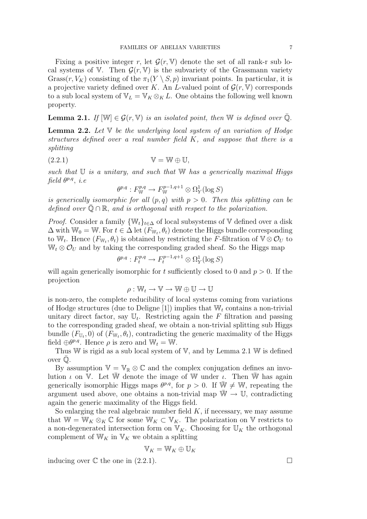Fixing a positive integer r, let  $\mathcal{G}(r, V)$  denote the set of all rank-r sub local systems of V. Then  $\mathcal{G}(r, V)$  is the subvariety of the Grassmann variety Grass $(r, V_K)$  consisting of the  $\pi_1(Y \setminus S, p)$  invariant points. In particular, it is a projective variety defined over K. An L-valued point of  $\mathcal{G}(r, V)$  corresponds to a sub local system of  $\mathbb{V}_L = \mathbb{V}_K \otimes_K L$ . One obtains the following well known property.

**Lemma 2.1.** If  $[\mathbb{W}] \in \mathcal{G}(r, \mathbb{V})$  is an isolated point, then  $\mathbb{W}$  is defined over  $\overline{\mathbb{Q}}$ .

**Lemma 2.2.** Let  $V$  be the underlying local system of an variation of Hodge structures defined over a real number field  $K$ , and suppose that there is a splitting

$$
(2.2.1) \t\t\t V = W \oplus U,
$$

such that  $\mathbb U$  is a unitary, and such that  $\mathbb W$  has a generically maximal Higgs  $field \,\theta^{p,q}, \,i.e$ 

$$
\theta^{p,q}: F_{\mathbb{W}}^{p,q} \to F_{\mathbb{W}}^{p-1,q+1} \otimes \Omega_Y^1(\log S)
$$

is generically isomorphic for all  $(p, q)$  with  $p > 0$ . Then this splitting can be defined over  $\overline{Q} \cap \mathbb{R}$ , and is orthogonal with respect to the polarization.

*Proof.* Consider a family  $\{W_t\}_{t\in\Delta}$  of local subsystems of V defined over a disk  $\Delta$  with  $\mathbb{W}_0 = \mathbb{W}$ . For  $t \in \Delta$  let  $(F_{\mathbb{W}_t}, \theta_t)$  denote the Higgs bundle corresponding to W<sub>t</sub>. Hence  $(F_{W_t}, \theta_t)$  is obtained by restricting the F-filtration of  $V \otimes \mathcal{O}_U$  to  $W_t \otimes \mathcal{O}_U$  and by taking the corresponding graded sheaf. So the Higgs map

$$
\theta^{p,q}: F_t^{p,q} \to F_t^{p-1,q+1} \otimes \Omega^1_Y(\log S)
$$

will again generically isomorphic for t sufficiently closed to 0 and  $p > 0$ . If the projection

$$
\rho: \mathbb{W}_t \to \mathbb{V} \to \mathbb{W} \oplus \mathbb{U} \to \mathbb{U}
$$

is non-zero, the complete reducibility of local systems coming from variations of Hodge structures (due to Deligne [1]) implies that  $W_t$  contains a non-trivial unitary direct factor, say  $\mathbb{U}_t$ . Restricting again the F filtration and passing to the corresponding graded sheaf, we obtain a non-trivial splitting sub Higgs bundle  $(F_{\mathbb{U}_t}, 0)$  of  $(F_{\mathbb{W}_t}, \theta_t)$ , contradicting the generic maximality of the Higgs field  $\oplus \theta^{p,q}$ . Hence  $\rho$  is zero and  $\mathbb{W}_t = \mathbb{W}$ .

Thus W is rigid as a sub local system of V, and by Lemma 2.1 W is defined over  $\mathbb Q$ .

By assumption  $\mathbb{V} = \mathbb{V}_{\mathbb{R}} \otimes \mathbb{C}$  and the complex conjugation defines an involution  $\iota$  on V. Let W denote the image of W under  $\iota$ . Then Whas again generically isomorphic Higgs maps  $\theta^{p,q}$ , for  $p > 0$ . If  $\overline{W} \neq W$ , repeating the argument used above, one obtains a non-trivial map  $\overline{W} \to \mathbb{U}$ , contradicting again the generic maximality of the Higgs field.

So enlarging the real algebraic number field  $K$ , if necessary, we may assume that  $\mathbb{W} = \mathbb{W}_K \otimes_K \mathbb{C}$  for some  $\mathbb{W}_K \subset \mathbb{V}_K$ . The polarization on V restricts to a non-degenerated intersection form on  $\mathbb{V}_K$ . Choosing for  $\mathbb{U}_K$  the orthogonal complement of  $W_K$  in  $V_K$  we obtain a splitting

$$
\mathbb{V}_K=\mathbb{W}_K\oplus \mathbb{U}_K
$$

inducing over  $\mathbb C$  the one in  $(2.2.1)$ .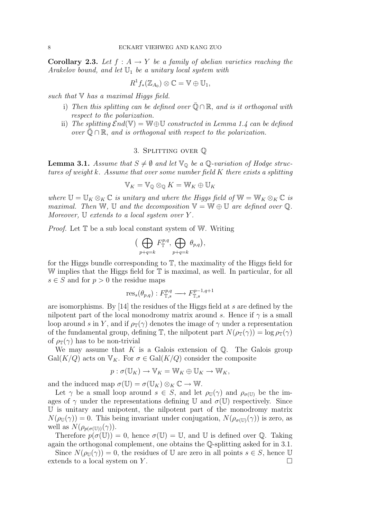**Corollary 2.3.** Let  $f : A \rightarrow Y$  be a family of abelian varieties reaching the Arakelov bound, and let  $\mathbb{U}_1$  be a unitary local system with

$$
R^1f_*(\mathbb{Z}_{A_0})\otimes \mathbb{C}=\mathbb{V}\oplus \mathbb{U}_1,
$$

such that  $\nabla$  has a maximal Higgs field.

- i) Then this splitting can be defined over  $\overline{Q} \cap \mathbb{R}$ , and is it orthogonal with respect to the polarization.
- ii) The splitting  $\mathcal{E}nd(\mathbb{V}) = \mathbb{W} \oplus \mathbb{U}$  constructed in Lemma 1.4 can be defined over  $\mathbb{O} \cap \mathbb{R}$ , and is orthogonal with respect to the polarization.

# 3. Splitting over Q

**Lemma 3.1.** Assume that  $S \neq \emptyset$  and let  $\mathbb{V}_{\mathbb{Q}}$  be a  $\mathbb{Q}$ -variation of Hodge structures of weight k. Assume that over some number field K there exists a splitting

$$
\mathbb{V}_K = \mathbb{V}_{\mathbb{Q}} \otimes_{\mathbb{Q}} K = \mathbb{W}_K \oplus \mathbb{U}_K
$$

where  $\mathbb{U} = \mathbb{U}_K \otimes_K \mathbb{C}$  is unitary and where the Higgs field of  $\mathbb{W} = \mathbb{W}_K \otimes_K \mathbb{C}$  is maximal. Then W, U and the decomposition  $\mathbb{V} = \mathbb{W} \oplus \mathbb{U}$  are defined over  $\mathbb{Q}$ . Moreover,  $\mathbb U$  extends to a local system over Y.

*Proof.* Let  $\mathbb T$  be a sub local constant system of W. Writing

$$
\big(\bigoplus_{p+q=k} F_{\mathbb{T}}^{p,q}, \bigoplus_{p+q=k} \theta_{p,q}\big),\,
$$

for the Higgs bundle corresponding to  $\mathbb{T}$ , the maximality of the Higgs field for W implies that the Higgs field for  $\mathbb T$  is maximal, as well. In particular, for all  $s \in S$  and for  $p > 0$  the residue maps

$$
ress(\thetap,q) : FT,sp,q \longrightarrow FT,sp-1,q+1
$$

are isomorphisms. By [14] the residues of the Higgs field at s are defined by the nilpotent part of the local monodromy matrix around s. Hence if  $\gamma$  is a small loop around s in Y, and if  $\rho_{\mathbb{T}}(\gamma)$  denotes the image of  $\gamma$  under a representation of the fundamental group, defining  $\mathbb{T}$ , the nilpotent part  $N(\rho_{\mathbb{T}}(\gamma)) = \log \rho_{\mathbb{T}}(\gamma)$ of  $\rho_{\mathbb{T}}(\gamma)$  has to be non-trivial

We may assume that  $K$  is a Galois extension of  $\mathbb{Q}$ . The Galois group  $Gal(K/Q)$  acts on  $V_K$ . For  $\sigma \in Gal(K/Q)$  consider the composite

$$
p: \sigma(\mathbb{U}_K) \to \mathbb{V}_K = \mathbb{W}_K \oplus \mathbb{U}_K \to \mathbb{W}_K,
$$

and the induced map  $\sigma(\mathbb{U}) = \sigma(\mathbb{U}_K) \otimes_K \mathbb{C} \to \mathbb{W}$ .

Let  $\gamma$  be a small loop around  $s \in S$ , and let  $\rho_{\mathbb{U}}(\gamma)$  and  $\rho_{\sigma(\mathbb{U})}$  be the images of  $\gamma$  under the representations defining U and  $\sigma(\mathbb{U})$  respectively. Since U is unitary and unipotent, the nilpotent part of the monodromy matrix  $N(\rho_{\mathbb{U}}(\gamma)) = 0$ . This being invariant under conjugation,  $N(\rho_{\sigma(\mathbb{U})}(\gamma))$  is zero, as well as  $N(\rho_{p(\sigma(\mathbb{U}))}(\gamma)).$ 

Therefore  $p(\sigma(\mathbb{U})) = 0$ , hence  $\sigma(\mathbb{U}) = \mathbb{U}$ , and  $\mathbb{U}$  is defined over  $\mathbb{Q}$ . Taking again the orthogonal complement, one obtains the Q-splitting asked for in 3.1.

Since  $N(\rho_{\mathbb{U}}(\gamma)) = 0$ , the residues of U are zero in all points  $s \in S$ , hence U extends to a local system on  $Y$ .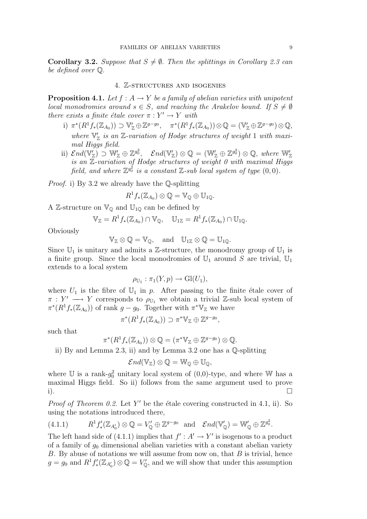**Corollary 3.2.** Suppose that  $S \neq \emptyset$ . Then the splittings in Corollary 2.3 can be defined over Q.

# 4. Z-structures and isogenies

**Proposition 4.1.** Let  $f : A \rightarrow Y$  be a family of abelian varieties with unipotent local monodromies around  $s \in S$ , and reaching the Arakelov bound. If  $S \neq \emptyset$ there exists a finite étale cover  $\pi : Y' \to Y$  with

- i)  $\pi^*(R^1f_*(\mathbb{Z}_{A_0})) \supset \mathbb{V}_{\mathbb{Z}}' \oplus \mathbb{Z}^{g-g_0}, \quad \pi^*(R^1f_*(\mathbb{Z}_{A_0})) \otimes \mathbb{Q} = (\mathbb{V}_{\mathbb{Z}}' \oplus \mathbb{Z}^{g-g_0}) \otimes \mathbb{Q},$ where  $\nabla_{\mathbb{Z}}'$  is an  $\mathbb{Z}$ -variation of Hodge structures of weight 1 with maximal Higgs field.
- ii)  $\mathcal{E}nd(\mathbb{V}_{\mathbb{Z}}') \supset \mathbb{W}_{\mathbb{Z}}' \oplus \mathbb{Z}^{g_0^2}$ ,  $\mathcal{E}nd(\mathbb{V}_{\mathbb{Z}}') \otimes \mathbb{Q} = (\mathbb{W}_{\mathbb{Z}}' \oplus \mathbb{Z}^{g_0^2}) \otimes \mathbb{Q}$ , where  $\mathbb{W}_{\mathbb{Z}}'$ is an  $Z$ -variation of Hodge structures of weight 0 with maximal Higgs field, and where  $\mathbb{Z}^{g_0^2}$  is a constant  $\mathbb{Z}$ -sub local system of type  $(0,0)$ .

Proof. i) By 3.2 we already have the Q-splitting

$$
R^1f_*(\mathbb{Z}_{A_0})\otimes \mathbb{Q}=\mathbb{V}_{\mathbb{Q}}\oplus \mathbb{U}_{1\mathbb{Q}}.
$$

A Z-structure on  $\mathbb{V}_{\mathbb{Q}}$  and  $\mathbb{U}_{1\mathbb{Q}}$  can be defined by

$$
\mathbb{V}_{\mathbb{Z}} = R^1 f_* (\mathbb{Z}_{A_0}) \cap \mathbb{V}_{\mathbb{Q}}, \quad \mathbb{U}_{1\mathbb{Z}} = R^1 f_* (\mathbb{Z}_{A_0}) \cap \mathbb{U}_{1\mathbb{Q}}.
$$

**Obviously** 

$$
\mathbb{V}_{\mathbb{Z}}\otimes \mathbb{Q}=\mathbb{V}_{\mathbb{Q}}, \quad \mathrm{and} \quad \mathbb{U}_{1\mathbb{Z}}\otimes \mathbb{Q}=\mathbb{U}_{1\mathbb{Q}}.
$$

Since  $\mathbb{U}_1$  is unitary and admits a Z-structure, the monodromy group of  $\mathbb{U}_1$  is a finite group. Since the local monodromies of  $\mathbb{U}_1$  around S are trivial,  $\mathbb{U}_1$ extends to a local system

$$
\rho_{\mathbb{U}_1} : \pi_1(Y, p) \to \mathrm{Gl}(U_1),
$$

where  $U_1$  is the fibre of  $\mathbb{U}_1$  in p. After passing to the finite étale cover of  $\pi : Y' \longrightarrow Y$  corresponds to  $\rho_{\mathbb{U}_1}$  we obtain a trivial Z-sub local system of  $\pi^*(R^1f_*(\mathbb{Z}_{A_0}))$  of rank  $g-g_0$ . Together with  $\pi^*\mathbb{V}_{\mathbb{Z}}$  we have

$$
\pi^*(R^1f_*(\mathbb{Z}_{A_0})) \supset \pi^*V_{\mathbb{Z}} \oplus \mathbb{Z}^{g-g_0},
$$

such that

$$
\pi^*(R^1f_*(\mathbb{Z}_{A_0}))\otimes \mathbb{Q}=(\pi^*\mathbb{V}_{\mathbb{Z}}\oplus \mathbb{Z}^{g-g_0})\otimes \mathbb{Q}.
$$

ii) By and Lemma 2.3, ii) and by Lemma 3.2 one has a Q-splitting

$$
\mathcal{E}nd(\mathbb{V}_\mathbb{Z})\otimes \mathbb{Q}=\mathbb{W}_\mathbb{Q}\oplus \mathbb{U}_\mathbb{Q},
$$

where U is a rank- $g_0^2$  unitary local system of  $(0,0)$ -type, and where W has a maximal Higgs field. So ii) follows from the same argument used to prove i).

*Proof of Theorem 0.2.* Let Y' be the étale covering constructed in 4.1, ii). So using the notations introduced there,

$$
(4.1.1) \t R1 f'_{*}(\mathbb{Z}_{A'_{0}}) \otimes \mathbb{Q} = V'_{\mathbb{Q}} \oplus \mathbb{Z}^{g-g_{0}} \text{ and } \mathcal{E}nd(\mathbb{V}'_{\mathbb{Q}}) = \mathbb{W}'_{\mathbb{Q}} \oplus \mathbb{Z}^{g_{0}^{2}}.
$$

The left hand side of (4.1.1) implies that  $f' : A' \to Y'$  is isogenous to a product of a family of  $g_0$  dimensional abelian varieties with a constant abelian variety B. By abuse of notations we will assume from now on, that  $B$  is trivial, hence  $g = g_0$  and  $R^1 f'_* (\mathbb{Z}_{A_0'}) \otimes \mathbb{Q} = V'_\mathbb{Q}$ , and we will show that under this assumption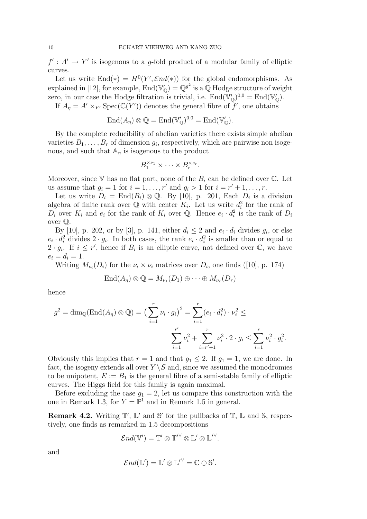$f' : A' \to Y'$  is isogenous to a g-fold product of a modular family of elliptic curves.

Let us write  $\text{End}(*) = H^0(Y', \mathcal{E}nd(*))$  for the global endomorphisms. As explained in [12], for example,  $\text{End}(\mathbb{V}'_{\mathbb{O}}) = \mathbb{Q}^{g^2}$  is a  $\mathbb Q$  Hodge structure of weight zero, in our case the Hodge filtration is trivial, i.e.  $\text{End}(\mathbb{V}'_{\mathbb{Q}})^{0,0} = \text{End}(\mathbb{V}'_{\mathbb{Q}})$ .

If  $A_{\eta} = A' \times_{Y'} \text{Spec}(\mathbb{C}(Y'))$  denotes the general fibre of  $f'$ , one obtains

$$
End(A_{\eta}) \otimes \mathbb{Q} = End(\mathbb{V}_{\mathbb{Q}}')^{0,0} = End(\mathbb{V}_{\mathbb{Q}}').
$$

By the complete reducibility of abelian varieties there exists simple abelian varieties  $B_1, \ldots, B_r$  of dimension  $g_i$ , respectively, which are pairwise non isogenous, and such that  $A_n$  is isogenous to the product

$$
B_1^{\times \nu_1} \times \cdots \times B_r^{\times \nu_r}.
$$

Moreover, since  $V$  has no flat part, none of the  $B_i$  can be defined over  $\mathbb{C}$ . Let us assume that  $g_i = 1$  for  $i = 1, \ldots, r'$  and  $g_i > 1$  for  $i = r' + 1, \ldots, r$ .

Let us write  $D_i = \text{End}(B_i) \otimes \mathbb{Q}$ . By [10], p. 201, Each  $D_i$  is a division algebra of finite rank over  $\mathbb Q$  with center  $K_i$ . Let us write  $d_i^2$  for the rank of  $\overline{D_i}$  over  $K_i$  and  $e_i$  for the rank of  $K_i$  over Q. Hence  $e_i \cdot d_i^2$  is the rank of  $D_i$ over Q.

By [10], p. 202, or by [3], p. 141, either  $d_i \leq 2$  and  $e_i \cdot d_i$  divides  $g_i$ , or else  $e_i \cdot d_i^2$  divides  $2 \cdot g_i$ . In both cases, the rank  $e_i \cdot d_i^2$  is smaller than or equal to  $2 \cdot g_i$ . If  $i \leq r'$ , hence if  $B_i$  is an elliptic curve, not defined over  $\mathbb{C}$ , we have  $e_i = d_i = 1.$ 

Writing  $M_{\nu_i}(D_i)$  for the  $\nu_i \times \nu_i$  matrices over  $D_i$ , one finds ([10], p. 174)

$$
End(A_{\eta}) \otimes \mathbb{Q} = M_{\nu_1}(D_1) \oplus \cdots \oplus M_{\nu_r}(D_r)
$$

hence

$$
g^{2} = \dim_{\mathbb{Q}}(\text{End}(A_{\eta}) \otimes \mathbb{Q}) = \left(\sum_{i=1}^{r} \nu_{i} \cdot g_{i}\right)^{2} = \sum_{i=1}^{r} (e_{i} \cdot d_{i}^{2}) \cdot \nu_{i}^{2} \le
$$

$$
\sum_{i=1}^{r'} \nu_{i}^{2} + \sum_{i=r'+1}^{r} \nu_{i}^{2} \cdot 2 \cdot g_{i} \le \sum_{i=1}^{r} \nu_{i}^{2} \cdot g_{i}^{2}.
$$

Obviously this implies that  $r = 1$  and that  $g_1 \leq 2$ . If  $g_1 = 1$ , we are done. In fact, the isogeny extends all over  $Y \setminus S$  and, since we assumed the monodromies to be unipotent,  $E := B_1$  is the general fibre of a semi-stable family of elliptic curves. The Higgs field for this family is again maximal.

Before excluding the case  $g_1 = 2$ , let us compare this construction with the one in Remark 1.3, for  $Y = \mathbb{P}^1$  and in Remark 1.5 in general.

**Remark 4.2.** Writing  $\mathbb{T}'$ ,  $\mathbb{L}'$  and  $\mathbb{S}'$  for the pullbacks of  $\mathbb{T}$ ,  $\mathbb{L}$  and  $\mathbb{S}$ , respectively, one finds as remarked in 1.5 decompositions

$$
\mathcal{E} nd(\mathbb{V}') = \mathbb{T}' \otimes \mathbb{T}'^{\vee} \otimes \mathbb{L}' \otimes \mathbb{L}'^{\vee}.
$$

and

$$
\mathcal{E}nd(\mathbb{L}')=\mathbb{L}'\otimes{\mathbb{L}'}^\vee=\mathbb{C}\oplus\mathbb{S}'.
$$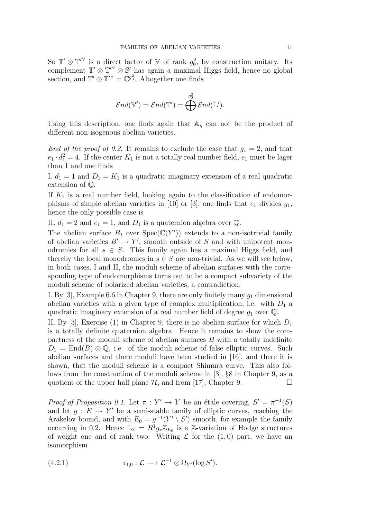So  $\mathbb{T}' \otimes \mathbb{T}'$  is a direct factor of V of rank  $g_0^2$ , by construction unitary. Its complement  $\mathbb{T}' \otimes \mathbb{T}' \otimes \mathbb{S}'$  has again a maximal Higgs field, hence no global section, and  $\mathbb{T}' \otimes \mathbb{T}'^{\vee} = \mathbb{C}^{g_0^2}$ . Altogether one finds

$$
\mathcal{E}nd(\mathbb{V}') = \mathcal{E}nd(\mathbb{T}') = \bigoplus^{g_0^2} \mathcal{E}nd(\mathbb{L}').
$$

Using this description, one finds again that  $A_n$  can not be the product of different non-isogenous abelian varieties.

End of the proof of 0.2. It remains to exclude the case that  $g_1 = 2$ , and that  $e_1 \cdot d_1^2 = 4$ . If the center  $K_1$  is not a totally real number field,  $e_1$  must be lager than 1 and one finds

I.  $d_1 = 1$  and  $D_1 = K_1$  is a quadratic imaginary extension of a real quadratic extension of Q.

If  $K_1$  is a real number field, looking again to the classification of endomorphisms of simple abelian varieties in [10] or [3], one finds that  $e_1$  divides  $g_1$ , hence the only possible case is

II.  $d_1 = 2$  and  $e_1 = 1$ , and  $D_1$  is a quaternion algebra over  $\mathbb{Q}$ .

The abelian surface  $B_1$  over  $Spec(\mathbb{C}(Y'))$  extends to a non-isotrivial family of abelian varieties  $B' \to Y'$ , smooth outside of S and with unipotent monodromies for all  $s \in S$ . This family again has a maximal Higgs field, and thereby the local monodromies in  $s \in S$  are non-trivial. As we will see below, in both cases, I and II, the moduli scheme of abelian surfaces with the corresponding type of endomorphisms turns out to be a compact subvariety of the moduli scheme of polarized abelian varieties, a contradiction.

I. By [3], Example 6.6 in Chapter 9, there are only finitely many  $g_1$  dimensional abelian varieties with a given type of complex multiplication, i.e. with  $D_1$  a quadratic imaginary extension of a real number field of degree  $g_1$  over  $\mathbb{Q}$ .

II. By [3], Exercise (1) in Chapter 9, there is no abelian surface for which  $D_1$ is a totally definite quaternion algebra. Hence it remains to show the compactness of the moduli scheme of abelian surfaces B with a totally indefinite  $D_1 = \text{End}(B) \otimes \mathbb{Q}$ , i.e. of the moduli scheme of false elliptic curves. Such abelian surfaces and there moduli have been studied in [16], and there it is shown, that the moduli scheme is a compact Shimura curve. This also follows from the construction of the moduli scheme in [3], §8 in Chapter 9, as a quotient of the upper half plane  $H$ , and from [17], Chapter 9.

Proof of Proposition 0.1. Let  $\pi : Y' \to Y$  be an étale covering,  $S' = \pi^{-1}(S)$ and let  $g: E \to Y'$  be a semi-stable family of elliptic curves, reaching the Arakelov bound, and with  $E_0 = g^{-1}(Y' \setminus S')$  smooth, for example the family occurring in 0.2. Hence  $\mathbb{L}_{\mathbb{Z}} = R^1 g_* \mathbb{Z}_{E_0}$  is a Z-variation of Hodge structures of weight one and of rank two. Writing  $\mathcal L$  for the  $(1, 0)$  part, we have an isomorphism

(4.2.1) 
$$
\tau_{1,0} : \mathcal{L} \longrightarrow \mathcal{L}^{-1} \otimes \Omega_{Y'}(\log S').
$$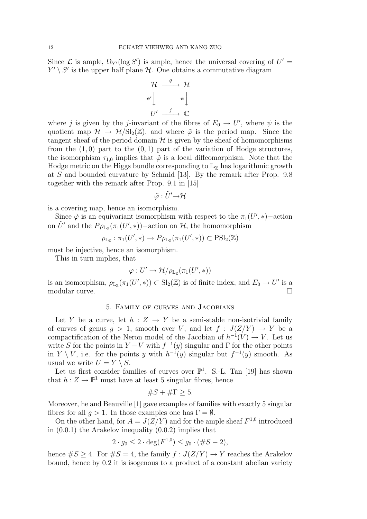Since  $\mathcal L$  is ample,  $\Omega_{Y'}(\log S')$  is ample, hence the universal covering of  $U' =$  $Y' \setminus S'$  is the upper half plane  $\mathcal H$ . One obtains a commutative diagram

$$
\begin{array}{ccc}\n\mathcal{H} & \xrightarrow{\tilde{\varphi}} & \mathcal{H} \\
\psi' & & \psi \downarrow \\
U' & \xrightarrow{j} & \mathbb{C}\n\end{array}
$$

where j is given by the j-invariant of the fibres of  $E_0 \to U'$ , where  $\psi$  is the quotient map  $\mathcal{H} \to \mathcal{H}/\mathrm{Sl}_2(\mathbb{Z})$ , and where  $\tilde{\varphi}$  is the period map. Since the tangent sheaf of the period domain  $\mathcal H$  is given by the sheaf of homomorphisms from the  $(1,0)$  part to the  $(0,1)$  part of the variation of Hodge structures, the isomorphism  $\tau_{1,0}$  implies that  $\tilde{\varphi}$  is a local diffeomorphism. Note that the Hodge metric on the Higgs bundle corresponding to  $\mathbb{L}_{\mathbb{Z}}$  has logarithmic growth at S and bounded curvature by Schmid [13]. By the remark after Prop. 9.8 together with the remark after Prop. 9.1 in [15]

$$
\tilde{\varphi}:\tilde{U}'{ \rightarrow } {\cal H}
$$

is a covering map, hence an isomorphism.

Since  $\tilde{\varphi}$  is an equivariant isomorphism with respect to the  $\pi_1(U',*)$ -action on  $\tilde{U}'$  and the  $P\rho_{\mathbb{L}_\mathbb{Z}}(\pi_1(U',*))$  -action on  $\mathcal{H}$ , the homomorphism

$$
\rho_{\mathbb{L}_{\mathbb{Z}}} : \pi_1(U',\ast) \to P \rho_{\mathbb{L}_{\mathbb{Z}}}(\pi_1(U',\ast)) \subset \mathrm{PSl}_2(\mathbb{Z})
$$

must be injective, hence an isomorphism.

This in turn implies, that

$$
\varphi:U'\to \mathcal{H}/\rho_{\mathbb{L}_\mathbb{Z}}(\pi_1(U',\ast))
$$

is an isomorphism,  $\rho_{\mathbb{L}_\mathbb{Z}}(\pi_1(U',*)) \subset \mathrm{Sl}_2(\mathbb{Z})$  is of finite index, and  $E_0 \to U'$  is a modular curve. □

## 5. Family of curves and Jacobians

Let Y be a curve, let  $h: Z \to Y$  be a semi-stable non-isotrivial family of curves of genus  $g > 1$ , smooth over V, and let  $f : J(Z/Y) \to Y$  be a compactification of the Neron model of the Jacobian of  $h^{-1}(V) \to V$ . Let us write S for the points in  $Y - V$  with  $f^{-1}(y)$  singular and  $\Gamma$  for the other points in  $Y \setminus V$ , i.e. for the points y with  $h^{-1}(y)$  singular but  $f^{-1}(y)$  smooth. As usual we write  $U = Y \setminus S$ .

Let us first consider families of curves over  $\mathbb{P}^1$ . S.-L. Tan [19] has shown that  $h: Z \to \mathbb{P}^1$  must have at least 5 singular fibres, hence

$$
\#S + \#\Gamma \ge 5.
$$

Moreover, he and Beauville [1] gave examples of families with exactly 5 singular fibres for all  $q > 1$ . In those examples one has  $\Gamma = \emptyset$ .

On the other hand, for  $A = J(Z/Y)$  and for the ample sheaf  $F^{1,0}$  introduced in (0.0.1) the Arakelov inequality (0.0.2) implies that

$$
2 \cdot g_0 \le 2 \cdot \deg(F^{1,0}) \le g_0 \cdot (\#S - 2),
$$

hence  $\#S \geq 4$ . For  $\#S = 4$ , the family  $f : J(Z/Y) \to Y$  reaches the Arakelov bound, hence by 0.2 it is isogenous to a product of a constant abelian variety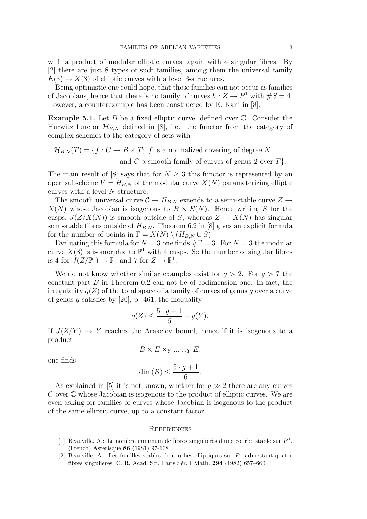with a product of modular elliptic curves, again with 4 singular fibres. By [2] there are just 8 types of such families, among them the universal family  $E(3) \rightarrow X(3)$  of elliptic curves with a level 3-structures.

Being optimistic one could hope, that those families can not occur as families of Jacobians, hence that there is no family of curves  $h: Z \to P^1$  with  $\#S = 4$ . However, a counterexample has been constructed by E. Kani in [8].

**Example 5.1.** Let  $B$  be a fixed elliptic curve, defined over  $\mathbb{C}$ . Consider the Hurwitz functor  $\mathcal{H}_{B,N}$  defined in [8], i.e. the functor from the category of complex schemes to the category of sets with

$$
\mathcal{H}_{B,N}(T) = \{ f : C \to B \times T; f \text{ is a normalized covering of degree } N \text{ and } C \text{ a smooth family of curves of genus 2 over } T \}.
$$

The main result of [8] says that for  $N \geq 3$  this functor is represented by an open subscheme  $V = H_{B,N}$  of the modular curve  $X(N)$  parameterizing elliptic curves with a level N-structure.

The smooth universal curve  $C \to H_{B,N}$  extends to a semi-stable curve  $Z \to$  $X(N)$  whose Jacobian is isogenous to  $B \times E(N)$ . Hence writing S for the cusps,  $J(Z/X(N))$  is smooth outside of S, whereas  $Z \to X(N)$  has singular semi-stable fibres outside of  $H_{BM}$ . Theorem 6.2 in [8] gives an explicit formula for the number of points in  $\Gamma = X(N) \setminus (H_{B,N} \cup S)$ .

Evaluating this formula for  $N = 3$  one finds  $\#\Gamma = 3$ . For  $N = 3$  the modular curve  $X(3)$  is isomorphic to  $\mathbb{P}^1$  with 4 cusps. So the number of singular fibres is 4 for  $J(Z/\mathbb{P}^1) \to \mathbb{P}^1$  and 7 for  $Z \to \mathbb{P}^1$ .

We do not know whether similar examples exist for  $q > 2$ . For  $q > 7$  the constant part  $B$  in Theorem 0.2 can not be of codimension one. In fact, the irregularity  $q(Z)$  of the total space of a family of curves of genus q over a curve of genus q satisfies by  $[20]$ , p. 461, the inequality

$$
q(Z) \le \frac{5 \cdot g + 1}{6} + g(Y).
$$

If  $J(Z/Y) \to Y$  reaches the Arakelov bound, hence if it is isogenous to a product

$$
B \times E \times_Y \ldots \times_Y E,
$$

one finds

$$
\dim(B) \le \frac{5 \cdot g + 1}{6}.
$$

As explained in [5] it is not known, whether for  $q \gg 2$  there are any curves  $C$  over  $\mathbb C$  whose Jacobian is isogenous to the product of elliptic curves. We are even asking for families of curves whose Jacobian is isogenous to the product of the same elliptic curve, up to a constant factor.

#### **REFERENCES**

- [1] Beauville, A.: Le nombre minimum de fibres singulierès d'une courbe stable sur  $P<sup>1</sup>$ . (French) Asterisque 86 (1981) 97-108
- [2] Beauville, A.: Les familles stables de courbes elliptiques sur  $P<sup>1</sup>$  admettant quatre fibres singulières. C. R. Acad. Sci. Paris Sér. I Math.  $294$  (1982) 657–660